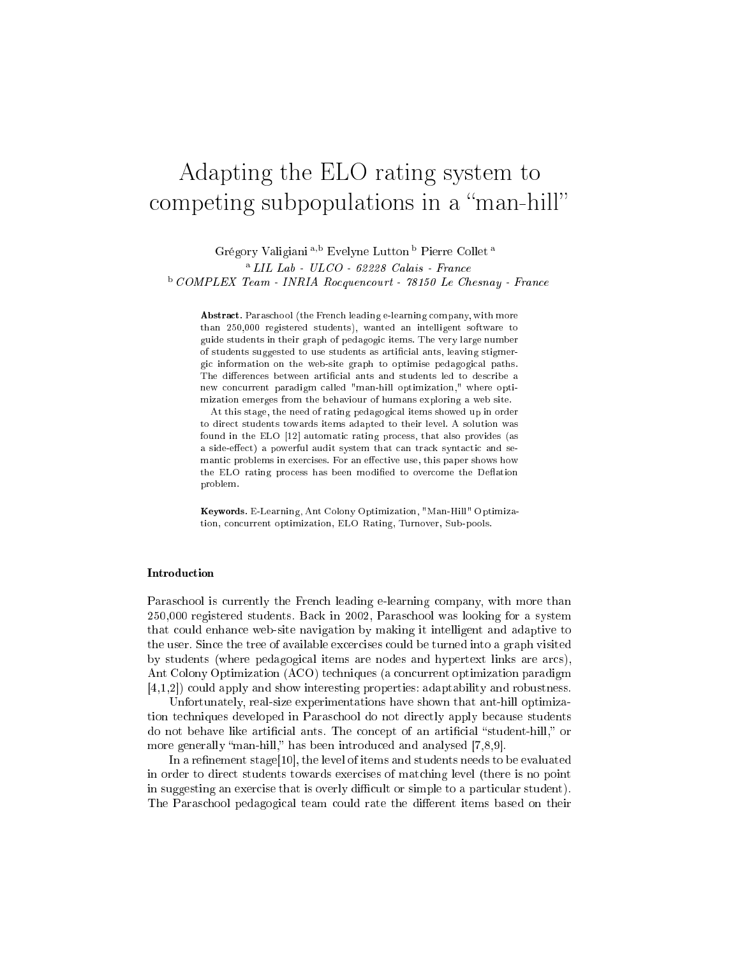# Adapting the ELO rating system to competing subpopulations in a "man-hill"

Grégory Valigiani <sup>a</sup>,<sup>b</sup> Evelyne Lutton <sup>b</sup> Pierre Collet <sup>a</sup>  $^{\rm a}$  LIL Lab - ULCO - 62228 Calais - France <sup>b</sup> COMPLEX Team - INRIA Rocquencourt - 78150 Le Chesnay - France

Abstract. Paraschool (the French leading e-learning company, with more than 250,000 registered students), wanted an intelligent software to guide students in their graph of pedagogi items. The very large number of students suggested to use students as artificial ants, leaving stigmergi information on the web-site graph to optimise pedagogi
al paths. The differences between artificial ants and students led to describe a new concurrent paradigm called "man-hill optimization," where optimization emerges from the behaviour of humans exploring a web site.

At this stage, the need of rating pedagogi
al items showed up in order to direct students towards items adapted to their level. A solution was found in the ELO [12] automatic rating process, that also provides (as a side-effect) a powerful audit system that can track syntactic and semantic problems in exercises. For an effective use, this paper shows how the ELO rating process has been modified to overcome the Deflation problem.

Keywords. E-Learning, Ant Colony Optimization, "Man-Hill" Optimization, concurrent optimization, ELO Rating, Turnover, Sub-pools.

Paraschool is currently the French leading e-learning company, with more than 250,000 registered students. Ba
k in 2002, Paras
hool was looking for a system that ould enhan
e web-site navigation by making it intelligent and adaptive to the user. Sin
e the tree of available ex
er
ises ould be turned into a graph visited by students (where pedagogi
al items are nodes and hypertext links are ar
s), Ant Colony Optimization (ACO) te
hniques (a on
urrent optimization paradigm  $[4,1,2]$  could apply and show interesting properties: adaptability and robustness.

Unfortunately, real-size experimentations have shown that ant-hill optimization te
hniques developed in Paras
hool do not dire
tly apply be
ause students do not behave like artificial ants. The concept of an artificial "student-hill," or more generally "man-hill," has been introduced and analysed [7,8,9].

In a refinement stage[10], the level of items and students needs to be evaluated in order to dire
t students towards exer
ises of mat
hing level (there is no point in suggesting an exercise that is overly difficult or simple to a particular student). The Paraschool pedagogical team could rate the different items based on their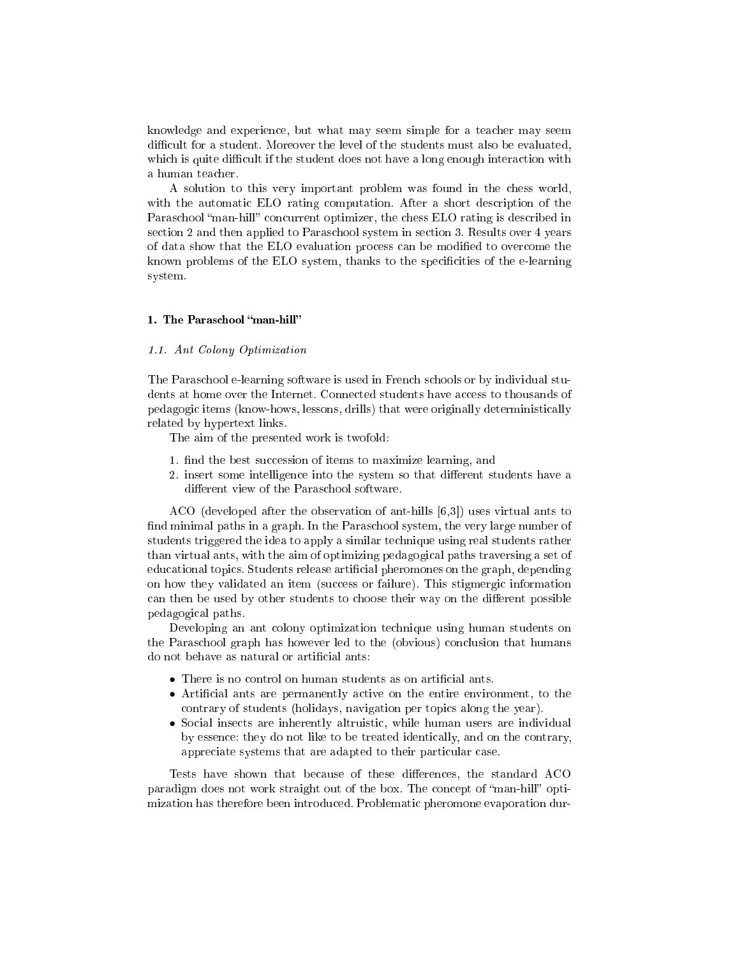knowledge and experien
e, but what may seem simple for a tea
her may seem difficult for a student. Moreover the level of the students must also be evaluated, which is quite difficult if the student does not have a long enough interaction with a human tea
her.

A solution to this very important problem was found in the hess world, with the automatic ELO rating computation. After a short description of the Paraschool "man-hill" concurrent optimizer, the chess ELO rating is described in se
tion 2 and then applied to Paras
hool system in se
tion 3. Results over 4 years of data show that the ELO evaluation process can be modified to overcome the known problems of the ELO system, thanks to the specificities of the e-learning system.

#### 1. The Paras
hool man-hill

### 1.1. Ant Colony Optimization

The Paras
hool e-learning software is used in Fren
h s
hools or by individual students at home over the Internet. Connected students have access to thousands of pedagogi items (know-hows, lessons, drills) that were originally deterministi
ally related by hypertext links.

The aim of the presented work is twofold:

- 1. find the best succession of items to maximize learning, and
- 2. insert some intelligence into the system so that different students have a different view of the Paraschool software.

ACO (developed after the observation of ant-hills  $[6,3]$ ) uses virtual ants to find minimal paths in a graph. In the Paraschool system, the very large number of students triggered the idea to apply a similar te
hnique using real students rather than virtual ants, with the aim of optimizing pedagogi
al paths traversing a set of edu
ational topi
s. Students release arti
ial pheromones on the graph, depending on how they validated an item (success or failure). This stigmergic information can then be used by other students to choose their way on the different possible pedagogi
al paths.

Developing an ant olony optimization te
hnique using human students on the Paraschool graph has however led to the (obvious) conclusion that humans do not behave as natural or artificial ants:

- There is no control on human students as on artificial ants.
- Artificial ants are permanently active on the entire environment, to the ontrary of students (holidays, navigation per topi
s along the year).
- So
ial inse
ts are inherently altruisti
, while human users are individual by essence: they do not like to be treated identically, and on the contrary, appreciate systems that are adapted to their particular case.

Tests have shown that because of these differences, the standard ACO paradigm does not work straight out of the box. The concept of "man-hill" optimization has therefore been introdu
ed. Problemati pheromone evaporation dur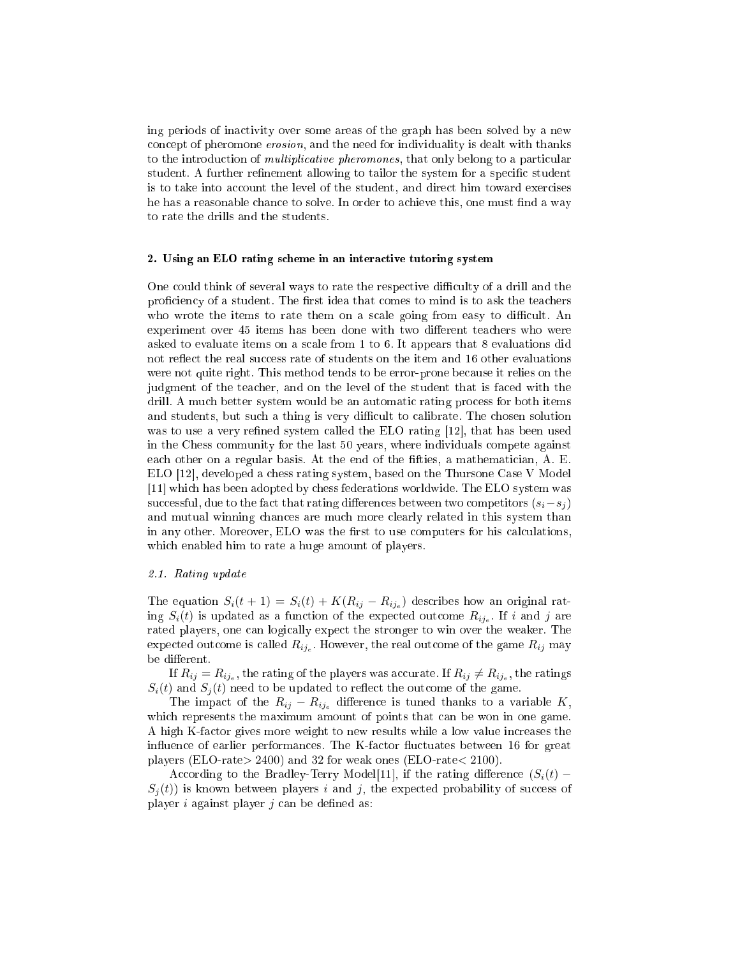ing periods of ina
tivity over some areas of the graph has been solved by a new concept of pheromone erosion, and the need for individuality is dealt with thanks to the introduction of *multiplicative pheromones*, that only belong to a particular student. A further refinement allowing to tailor the system for a specific student is to take into account the level of the student, and direct him toward exercises he has a reasonable chance to solve. In order to achieve this, one must find a way to rate the drills and the students.

#### 2. Using an ELO rating s
heme in an intera
tive tutoring system

One could think of several ways to rate the respective difficulty of a drill and the proficiency of a student. The first idea that comes to mind is to ask the teachers who wrote the items to rate them on a scale going from easy to difficult. An experiment over 45 items has been done with two different teachers who were asked to evaluate items on a s
ale from 1 to 6. It appears that 8 evaluations did not reflect the real success rate of students on the item and 16 other evaluations were not quite right. This method tends to be error-prone be
ause it relies on the judgment of the tea
her, and on the level of the student that is fa
ed with the drill. A much better system would be an automatic rating process for both items and students, but such a thing is very difficult to calibrate. The chosen solution was to use a very refined system called the ELO rating  $[12]$ , that has been used in the Chess ommunity for the last 50 years, where individuals ompete against each other on a regular basis. At the end of the fifties, a mathematician, A. E. ELO [12], developed a chess rating system, based on the Thursone Case V Model [11] which has been adopted by chess federations worldwide. The ELO system was successful, due to the fact that rating differences between two competitors  $(s_i - s_j)$ and mutual winning han
es are mu
h more learly related in this system than in any other. Moreover, ELO was the first to use computers for his calculations, which enabled him to rate a huge amount of players.

#### 2.1. Rating update

The equation  $S_i(t+1) = S_i(t) + K(R_{ij} - R_{ij_e})$  describes how an original rating  $S_i(t)$  is updated as a function of the expected outcome  $R_{ij_e}$ . If i and j are rated players, one can logically expect the stronger to win over the weaker. The expected outcome is called  $R_{ij_e}$ . However, the real outcome of the game  $R_{ij}$  may be different.

If  $R_{ij} = R_{ij_e},$  the rating of the players was accurate. If  $R_{ij} \neq R_{ij_e},$  the ratings  $S_i(t)$  and  $S_i(t)$  need to be updated to reflect the outcome of the game.

The impact of the  $R_{ij} - R_{ij_e}$  difference is tuned thanks to a variable K, which represents the maximum amount of points that can be won in one game. A high K-fa
tor gives more weight to new results while a low value in
reases the influence of earlier performances. The K-factor fluctuates between 16 for great players (ELO-rate> 2400) and 32 for weak ones (ELO-rate< 2100).

According to the Bradley-Terry Model[11], if the rating difference  $(S_i(t)$  –  $S_i(t)$  is known between players i and j, the expected probability of success of player  $i$  against player  $j$  can be defined as: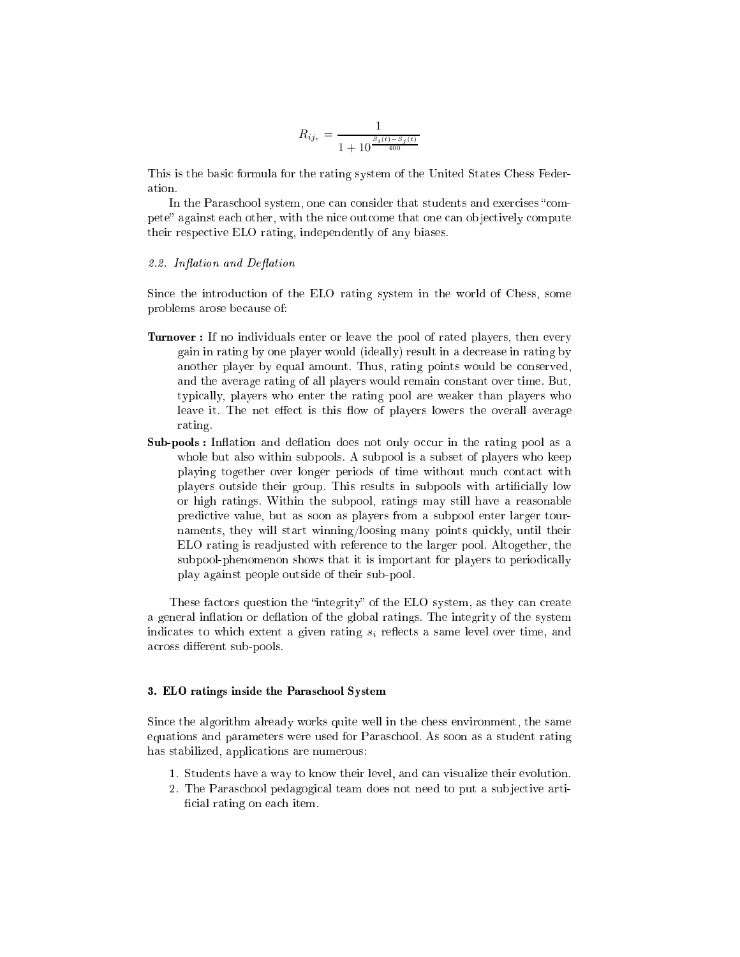$$
R_{ij_e} = \frac{1}{1 + 10^{\frac{S_i(t) - S_j(t)}{400}}}
$$

This is the basi formula for the rating system of the United States Chess Federation.

In the Paraschool system, one can consider that students and exercises "compete" against each other, with the nice outcome that one can objectively compute their respe
tive ELO rating, independently of any biases.

#### 2.2. Inflation and Deflation

Sin
e the introdu
tion of the ELO rating system in the world of Chess, some problems arose be
ause of:

- Turnover : If no individuals enter or leave the pool of rated players, then every gain in rating by one player would (ideally) result in a de
rease in rating by another player by equal amount. Thus, rating points would be onserved, and the average rating of all players would remain onstant over time. But, typi
ally, players who enter the rating pool are weaker than players who leave it. The net effect is this flow of players lowers the overall average rating.
- Sub-pools : Ination and deation does not only o

ur in the rating pool as a whole but also within subpools. A subpool is a subset of players who keep playing together over longer periods of time without much contact with players outside their group. This results in subpools with arti
ially low or high ratings. Within the subpool, ratings may still have a reasonable predi
tive value, but as soon as players from a subpool enter larger tournaments, they will start winning/loosing many points quickly, until their ELO rating is readjusted with referen
e to the larger pool. Altogether, the subpool-phenomenon shows that it is important for players to periodically play against people outside of their sub-pool.

These factors question the "integrity" of the ELO system, as they can create a general inflation or deflation of the global ratings. The integrity of the system indicates to which extent a given rating  $s_i$  reflects a same level over time, and across different sub-pools.

#### 3. ELO ratings inside the Paras
hool System

Sin
e the algorithm already works quite well in the hess environment, the same equations and parameters were used for Paras
hool. As soon as a student rating has stabilized, applications are numerous:

- 1. Students have a way to know their level, and an visualize their evolution.
- 2. The Paraschool pedagogical team does not need to put a subjective artificial rating on each item.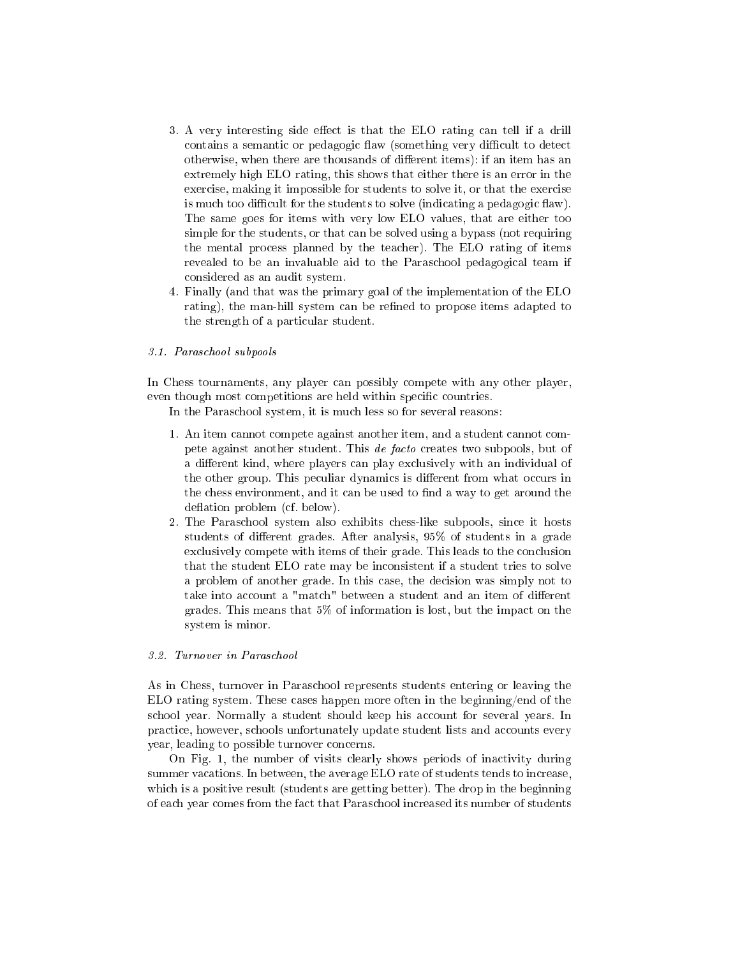- 3. A very interesting side effect is that the ELO rating can tell if a drill contains a semantic or pedagogic flaw (something very difficult to detect otherwise, when there are thousands of different items): if an item has an extremely high ELO rating, this shows that either there is an error in the exercise, making it impossible for students to solve it, or that the exercise is much too difficult for the students to solve (indicating a pedagogic flaw). The same goes for items with very low ELO values, that are either too simple for the students, or that can be solved using a bypass (not requiring the mental pro
ess planned by the tea
her). The ELO rating of items revealed to be an invaluable aid to the Paras
hool pedagogi
al team if onsidered as an audit system.
- 4. Finally (and that was the primary goal of the implementation of the ELO rating), the man-hill system can be refined to propose items adapted to the strength of a parti
ular student.

## 3.1. Paras
hool subpools

In Chess tournaments, any player can possibly compete with any other player, even though most competitions are held within specific countries.

In the Paras
hool system, it is mu
h less so for several reasons:

- 1. An item annot ompete against another item, and a student annot ompete against another student. This *de facto* creates two subpools, but of a different kind, where players can play exclusively with an individual of the other group. This peculiar dynamics is different from what occurs in the chess environment, and it can be used to find a way to get around the deflation problem (cf. below).
- 2. The Paras
hool system also exhibits hess-like subpools, sin
e it hosts students of different grades. After analysis, 95% of students in a grade exclusively compete with items of their grade. This leads to the conclusion that the student ELO rate may be in
onsistent if a student tries to solve a problem of another grade. In this case, the decision was simply not to take into account a "match" between a student and an item of different grades. This means that 5% of information is lost, but the impa
t on the system is minor.

### 3.2. Turnover in Paraschool

As in Chess, turnover in Paras
hool represents students entering or leaving the ELO rating system. These ases happen more often in the beginning/end of the school year. Normally a student should keep his account for several years. In practice, however, schools unfortunately update student lists and accounts every year, leading to possible turnover concerns.

On Fig. 1, the number of visits learly shows periods of ina
tivity during summer vacations. In between, the average ELO rate of students tends to increase, which is a positive result (students are getting better). The drop in the beginning of ea
h year omes from the fa
t that Paras
hool in
reased its number of students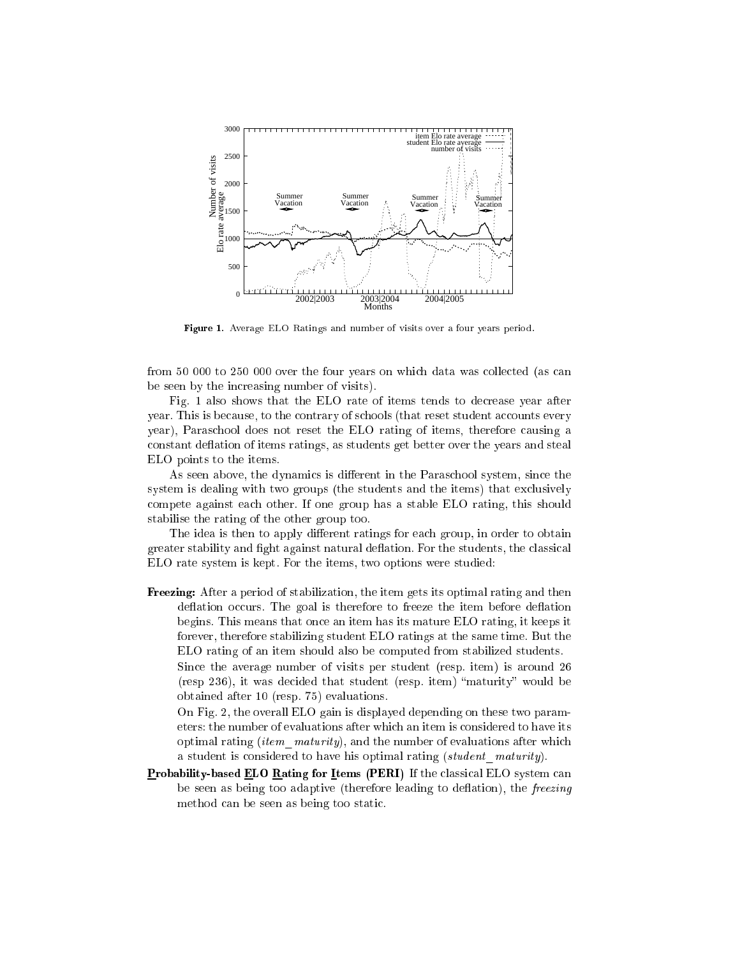

Figure 1. Average ELO Ratings and number of visits over a four years period.

from 50 000 to 250 000 over the four years on which data was collected (as can be seen by the in
reasing number of visits).

Fig. 1 also shows that the ELO rate of items tends to decrease year after year. This is because, to the contrary of schools (that reset student accounts every year), Paras
hool does not reset the ELO rating of items, therefore ausing a constant deflation of items ratings, as students get better over the years and steal ELO points to the items.

As seen above, the dynamics is different in the Paraschool system, since the system is dealing with two groups (the students and the items) that exclusively ompete against ea
h other. If one group has a stable ELO rating, this should stabilise the rating of the other group too.

The idea is then to apply different ratings for each group, in order to obtain greater stability and fight against natural deflation. For the students, the classical ELO rate system is kept. For the items, two options were studied:

Freezing: After a period of stabilization, the item gets its optimal rating and then deflation occurs. The goal is therefore to freeze the item before deflation begins. This means that on
e an item has its mature ELO rating, it keeps it forever, therefore stabilizing student ELO ratings at the same time. But the ELO rating of an item should also be omputed from stabilized students. Since the average number of visits per student (resp. item) is around 26 Sin
e the average number of visits per student (resp. item) is around 26

(resp 236), it was decided that student (resp. item) "maturity" would be obtained after 10 (resp. 75) evaluations.

On Fig. 2, the overall ELO gain is displayed depending on these two parameters: the number of evaluations after whi
h an item is onsidered to have its optimal rating (item  $\textit{maturity}$ ), and the number of evaluations after which a student is considered to have his optimal rating (student maturity).

Probability-based ELO Rating for Items (PERI) If the lassi
al ELO system an be seen as being too adaptive (therefore leading to deflation), the freezing method can be seen as being too static.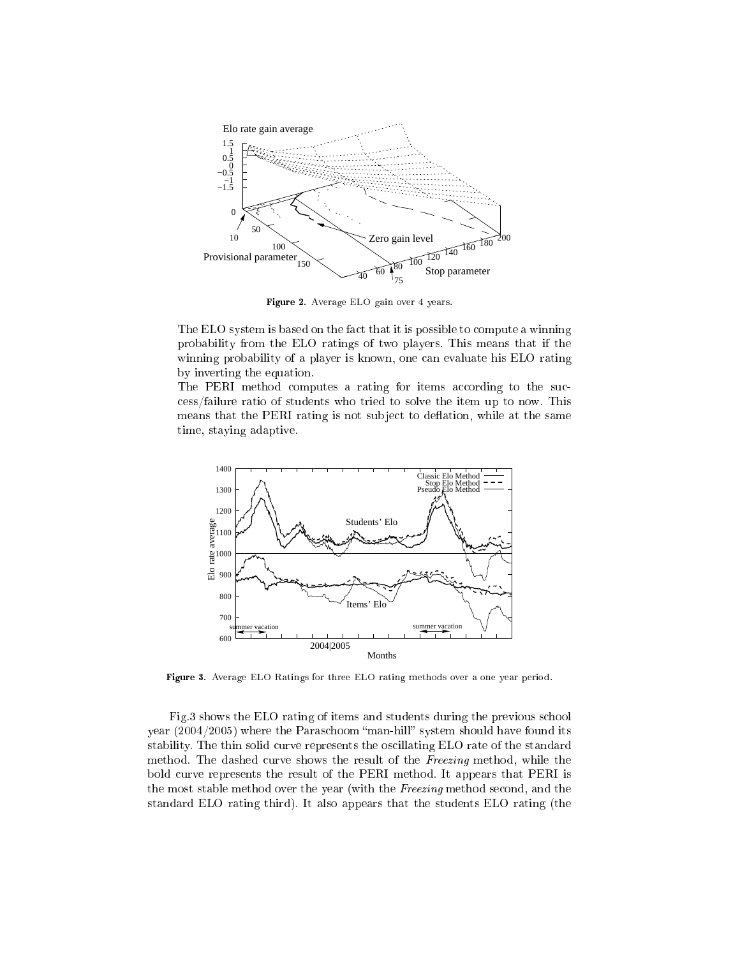

Figure 2. Average ELO gain over 4 years.

The ELO system is based on the fact that it is possible to compute a winning probability from the ELO ratings of two players. This means that if the winning probability of a player is known, one can evaluate his ELO rating by inverting the equation.

The PERI method computes a rating for items according to the sucess/failure ratio of students who tried to solve the item up to now. This means that the PERI rating is not subject to deflation, while at the same time, staying adaptive.



Figure 3. Average ELO Ratings for three ELO rating methods over a one year period.

Fig.3 shows the ELO rating of items and students during the previous s
hool year (2004/2005) where the Paraschoom "man-hill" system should have found its stability. The thin solid curve represents the oscillating ELO rate of the standard method. The dashed curve shows the result of the Freezing method, while the bold urve represents the result of the PERI method. It appears that PERI is the most stable method over the year (with the Freezing method second, and the standard ELO rating third). It also appears that the students ELO rating (the